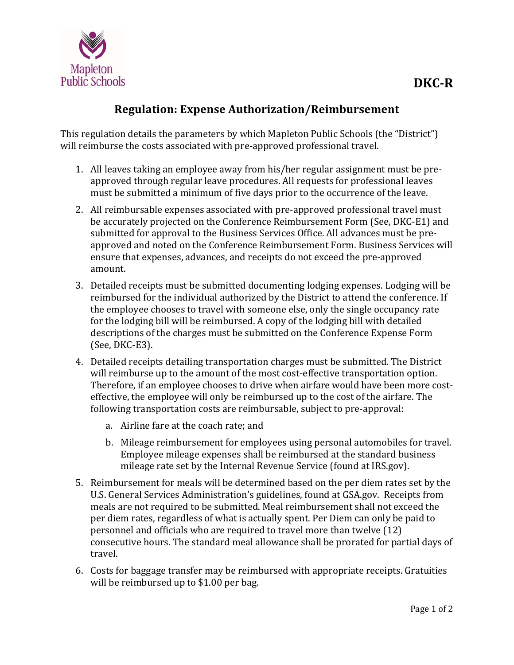

## **Regulation: Expense Authorization/Reimbursement**

This regulation details the parameters by which Mapleton Public Schools (the "District") will reimburse the costs associated with pre-approved professional travel.

- 1. All leaves taking an employee away from his/her regular assignment must be preapproved through regular leave procedures. All requests for professional leaves must be submitted a minimum of five days prior to the occurrence of the leave.
- 2. All reimbursable expenses associated with pre-approved professional travel must be accurately projected on the Conference Reimbursement Form (See, DKC-E1) and submitted for approval to the Business Services Office. All advances must be preapproved and noted on the Conference Reimbursement Form. Business Services will ensure that expenses, advances, and receipts do not exceed the pre-approved amount.
- 3. Detailed receipts must be submitted documenting lodging expenses. Lodging will be reimbursed for the individual authorized by the District to attend the conference. If the employee chooses to travel with someone else, only the single occupancy rate for the lodging bill will be reimbursed. A copy of the lodging bill with detailed descriptions of the charges must be submitted on the Conference Expense Form  $(See, DKC-E3).$
- 4. Detailed receipts detailing transportation charges must be submitted. The District will reimburse up to the amount of the most cost-effective transportation option. Therefore, if an employee chooses to drive when airfare would have been more costeffective, the employee will only be reimbursed up to the cost of the airfare. The following transportation costs are reimbursable, subject to pre-approval:
	- a. Airline fare at the coach rate; and
	- b. Mileage reimbursement for employees using personal automobiles for travel. Employee mileage expenses shall be reimbursed at the standard business mileage rate set by the Internal Revenue Service (found at IRS.gov).
- 5. Reimbursement for meals will be determined based on the per diem rates set by the U.S. General Services Administration's guidelines, found at GSA.gov. Receipts from meals are not required to be submitted. Meal reimbursement shall not exceed the per diem rates, regardless of what is actually spent. Per Diem can only be paid to personnel and officials who are required to travel more than twelve (12) consecutive hours. The standard meal allowance shall be prorated for partial days of travel.
- 6. Costs for baggage transfer may be reimbursed with appropriate receipts. Gratuities will be reimbursed up to  $$1.00$  per bag.